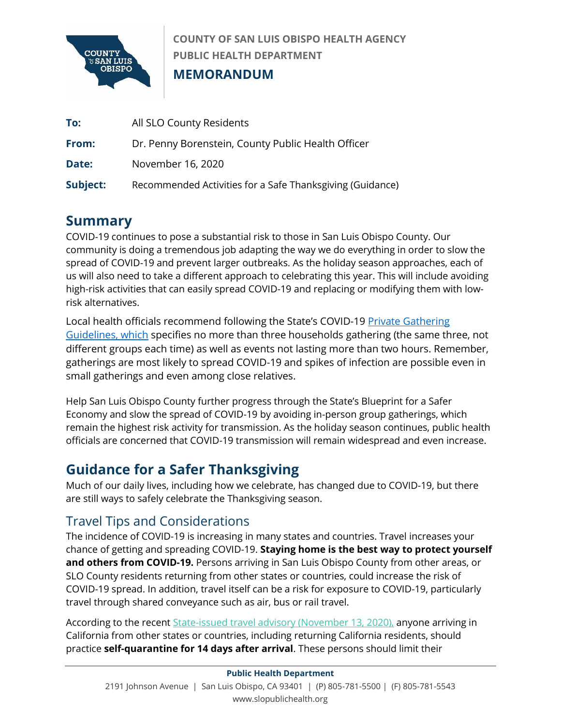

**COUNTY OF SAN LUIS OBISPO HEALTH AGENCY PUBLIC HEALTH DEPARTMENT MEMORANDUM**

| To:      | All SLO County Residents                                  |
|----------|-----------------------------------------------------------|
| From:    | Dr. Penny Borenstein, County Public Health Officer        |
| Date:    | November 16, 2020                                         |
| Subject: | Recommended Activities for a Safe Thanksgiving (Guidance) |

# **Summary**

COVID-19 continues to pose a substantial risk to those in San Luis Obispo County. Our community is doing a tremendous job adapting the way we do everything in order to slow the spread of COVID-19 and prevent larger outbreaks. As the holiday season approaches, each of us will also need to take a different approach to celebrating this year. This will include avoiding high-risk activities that can easily spread COVID-19 and replacing or modifying them with lowrisk alternatives.

Local health officials recommend following the State's COVID-19 Private Gathering [Guidelines,](https://www.cdph.ca.gov/Programs/CID/DCDC/Pages/COVID-19/CDPH-Guidance-for-the-Prevention-of-COVID-19-Transmission-for-Gatherings-10-09.aspx) which specifies no more than three households gathering (the same three, not different groups each time) as well as events not lasting more than two hours. Remember, gatherings are most likely to spread COVID-19 and spikes of infection are possible even in small gatherings and even among close relatives.

Help San Luis Obispo County further progress through the State's Blueprint for a Safer Economy and slow the spread of COVID-19 by avoiding in-person group gatherings, which remain the highest risk activity for transmission. As the holiday season continues, public health officials are concerned that COVID-19 transmission will remain widespread and even increase.

# **Guidance for a Safer Thanksgiving**

Much of our daily lives, including how we celebrate, has changed due to COVID-19, but there are still ways to safely celebrate the Thanksgiving season.

### Travel Tips and Considerations

The incidence of COVID-19 is increasing in many states and countries. Travel increases your chance of getting and spreading COVID-19. **Staying home is the best way to protect yourself and others from COVID-19.** Persons arriving in San Luis Obispo County from other areas, or SLO County residents returning from other states or countries, could increase the risk of COVID-19 spread. In addition, travel itself can be a risk for exposure to COVID-19, particularly travel through shared conveyance such as air, bus or rail travel.

According to the recent [State-issued travel advisory \(November 13, 2020\),](https://www.cdph.ca.gov/Programs/CID/DCDC/Pages/COVID-19/Travel-Advisory.aspx) anyone arriving in California from other states or countries, including returning California residents, should practice **self-quarantine for 14 days after arrival**. These persons should limit their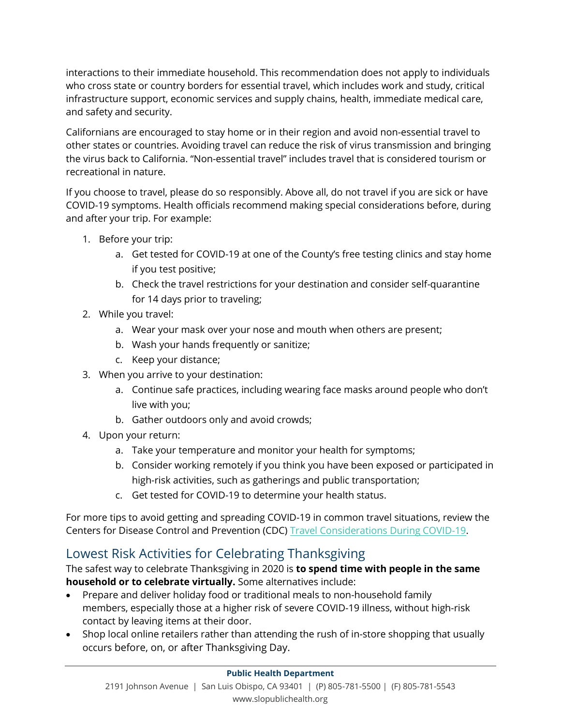interactions to their immediate household. This recommendation does not apply to individuals who cross state or country borders for essential travel, which includes work and study, critical infrastructure support, economic services and supply chains, health, immediate medical care, and safety and security.

Californians are encouraged to stay home or in their region and avoid non-essential travel to other states or countries. Avoiding travel can reduce the risk of virus transmission and bringing the virus back to California. "Non-essential travel" includes travel that is considered tourism or recreational in nature.

If you choose to travel, please do so responsibly. Above all, do not travel if you are sick or have COVID-19 symptoms. Health officials recommend making special considerations before, during and after your trip. For example:

- 1. Before your trip:
	- a. Get tested for COVID-19 at one of the County's free testing clinics and stay home if you test positive;
	- b. Check the travel restrictions for your destination and consider self-quarantine for 14 days prior to traveling;
- 2. While you travel:
	- a. Wear your mask over your nose and mouth when others are present;
	- b. Wash your hands frequently or sanitize;
	- c. Keep your distance;
- 3. When you arrive to your destination:
	- a. Continue safe practices, including wearing face masks around people who don't live with you;
	- b. Gather outdoors only and avoid crowds;
- 4. Upon your return:
	- a. Take your temperature and monitor your health for symptoms;
	- b. Consider working remotely if you think you have been exposed or participated in high-risk activities, such as gatherings and public transportation;
	- c. Get tested for COVID-19 to determine your health status.

For more tips to avoid getting and spreading COVID-19 in common travel situations, review the Centers for Disease Control and Prevention (CDC) [Travel Considerations During COVID-19.](https://www.cdc.gov/coronavirus/2019-ncov/travelers/travel-during-covid19.html)

# Lowest Risk Activities for Celebrating Thanksgiving

The safest way to celebrate Thanksgiving in 2020 is **to spend time with people in the same household or to celebrate virtually.** Some alternatives include:

- Prepare and deliver holiday food or traditional meals to non-household family members, especially those at a higher risk of severe COVID-19 illness, without high-risk contact by leaving items at their door.
- Shop local online retailers rather than attending the rush of in-store shopping that usually occurs before, on, or after Thanksgiving Day.

#### **Public Health Department**